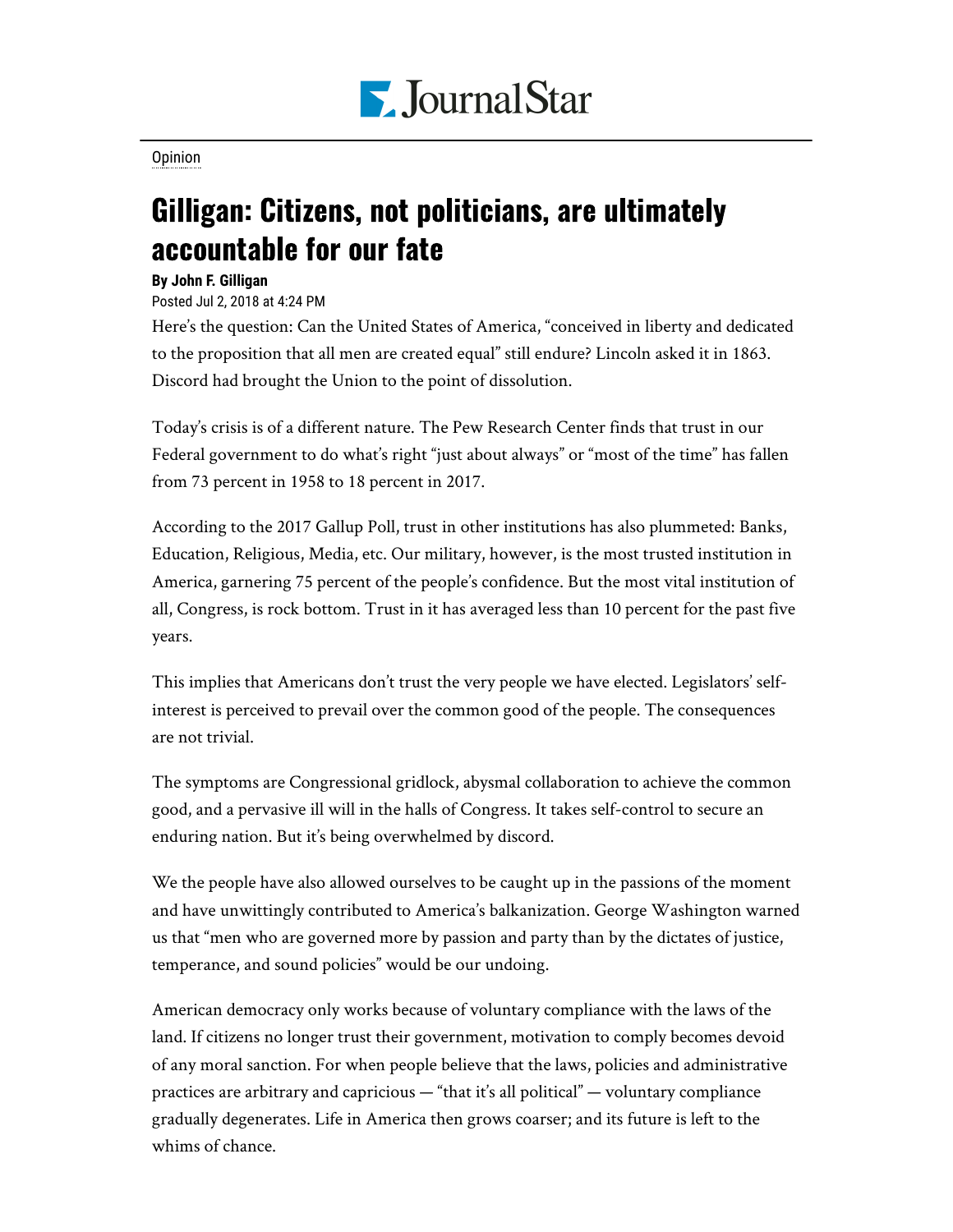

[Opinion](https://www.pjstar.com/search?text=Opinion)

## Gilligan: Citizens, not politicians, are ultimately accountable for our fate

## **By John F. Gilligan**

## Posted Jul 2, 2018 at 4:24 PM

Here's the question: Can the United States of America, "conceived in liberty and dedicated to the proposition that all men are created equal" still endure? Lincoln asked it in 1863. Discord had brought the Union to the point of dissolution.

Today's crisis is of a different nature. The Pew Research Center finds that trust in our Federal government to do what's right "just about always" or "most of the time" has fallen from 73 percent in 1958 to 18 percent in 2017.

According to the 2017 Gallup Poll, trust in other institutions has also plummeted: Banks, Education, Religious, Media, etc. Our military, however, is the most trusted institution in America, garnering 75 percent of the people's confidence. But the most vital institution of all, Congress, is rock bottom. Trust in it has averaged less than 10 percent for the past five years.

This implies that Americans don't trust the very people we have elected. Legislators' selfinterest is perceived to prevail over the common good of the people. The consequences are not trivial.

The symptoms are Congressional gridlock, abysmal collaboration to achieve the common good, and a pervasive ill will in the halls of Congress. It takes self-control to secure an enduring nation. But it's being overwhelmed by discord.

We the people have also allowed ourselves to be caught up in the passions of the moment and have unwittingly contributed to America's balkanization. George Washington warned us that "men who are governed more by passion and party than by the dictates of justice, temperance, and sound policies" would be our undoing.

American democracy only works because of voluntary compliance with the laws of the land. If citizens no longer trust their government, motivation to comply becomes devoid of any moral sanction. For when people believe that the laws, policies and administrative practices are arbitrary and capricious — "that it's all political" — voluntary compliance gradually degenerates. Life in America then grows coarser; and its future is left to the whims of chance.